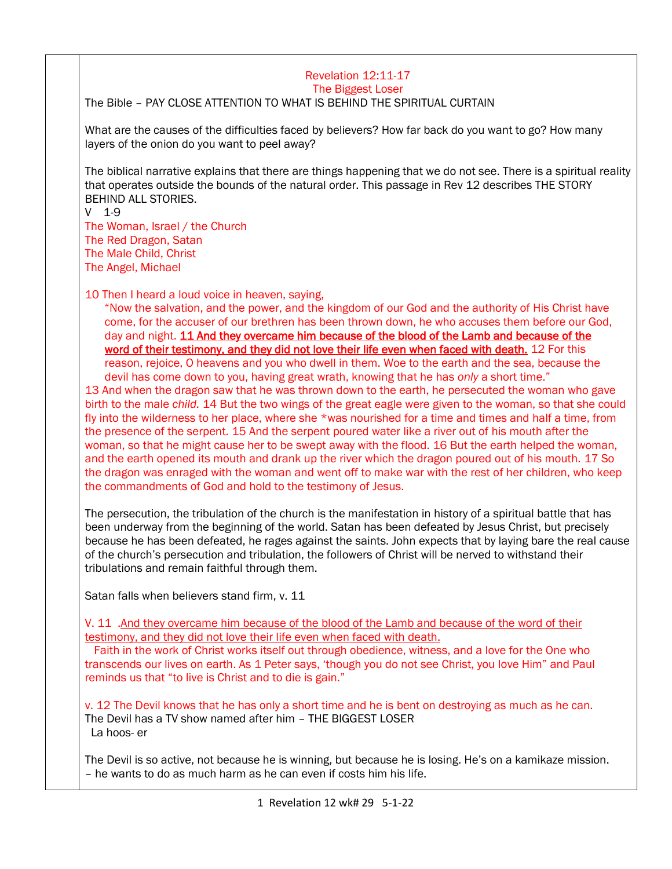## Revelation 12:11-17 The Biggest Loser

The Bible – PAY CLOSE ATTENTION TO WHAT IS BEHIND THE SPIRITUAL CURTAIN

What are the causes of the difficulties faced by believers? How far back do you want to go? How many layers of the onion do you want to peel away?

The biblical narrative explains that there are things happening that we do not see. There is a spiritual reality that operates outside the bounds of the natural order. This passage in Rev 12 describes THE STORY BEHIND ALL STORIES.

V 1-9

The Woman, Israel / the Church The Red Dragon, Satan The Male Child, Christ The Angel, Michael

10 Then I heard a loud voice in heaven, saying,

"Now the salvation, and the power, and the kingdom of our God and the authority of His Christ have come, for the accuser of our brethren has been thrown down, he who accuses them before our God, day and night. 11 And they overcame him because of the blood of the Lamb and because of the word of their testimony, and they did not love their life even when faced with death. 12 For this reason, rejoice, O heavens and you who dwell in them. Woe to the earth and the sea, because the devil has come down to you, having great wrath, knowing that he has *only* a short time."

13 And when the dragon saw that he was thrown down to the earth, he persecuted the woman who gave birth to the male *child.* 14 But the two wings of the great eagle were given to the woman, so that she could fly into the wilderness to her place, where she \*was nourished for a time and times and half a time, from the presence of the serpent. 15 And the serpent poured water like a river out of his mouth after the woman, so that he might cause her to be swept away with the flood. 16 But the earth helped the woman, and the earth opened its mouth and drank up the river which the dragon poured out of his mouth. 17 So the dragon was enraged with the woman and went off to make war with the rest of her children, who keep the commandments of God and hold to the testimony of Jesus.

The persecution, the tribulation of the church is the manifestation in history of a spiritual battle that has been underway from the beginning of the world. Satan has been defeated by Jesus Christ, but precisely because he has been defeated, he rages against the saints. John expects that by laying bare the real cause of the church's persecution and tribulation, the followers of Christ will be nerved to withstand their tribulations and remain faithful through them.

Satan falls when believers stand firm, v. 11

V. 11 .And they overcame him because of the blood of the Lamb and because of the word of their testimony, and they did not love their life even when faced with death.

 Faith in the work of Christ works itself out through obedience, witness, and a love for the One who transcends our lives on earth. As 1 Peter says, 'though you do not see Christ, you love Him" and Paul reminds us that "to live is Christ and to die is gain."

v. 12 The Devil knows that he has only a short time and he is bent on destroying as much as he can. The Devil has a TV show named after him – THE BIGGEST LOSER La hoos- er

The Devil is so active, not because he is winning, but because he is losing. He's on a kamikaze mission. – he wants to do as much harm as he can even if costs him his life.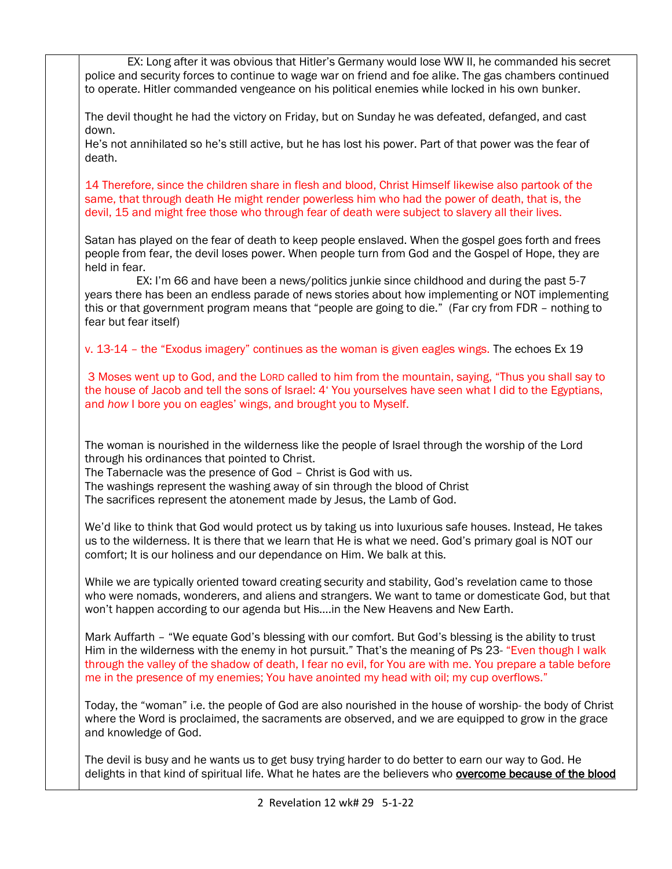| EX: Long after it was obvious that Hitler's Germany would lose WW II, he commanded his secret<br>police and security forces to continue to wage war on friend and foe alike. The gas chambers continued<br>to operate. Hitler commanded vengeance on his political enemies while locked in his own bunker.                                                                                                                 |
|----------------------------------------------------------------------------------------------------------------------------------------------------------------------------------------------------------------------------------------------------------------------------------------------------------------------------------------------------------------------------------------------------------------------------|
| The devil thought he had the victory on Friday, but on Sunday he was defeated, defanged, and cast<br>down.                                                                                                                                                                                                                                                                                                                 |
| He's not annihilated so he's still active, but he has lost his power. Part of that power was the fear of<br>death.                                                                                                                                                                                                                                                                                                         |
| 14 Therefore, since the children share in flesh and blood, Christ Himself likewise also partook of the<br>same, that through death He might render powerless him who had the power of death, that is, the<br>devil, 15 and might free those who through fear of death were subject to slavery all their lives.                                                                                                             |
| Satan has played on the fear of death to keep people enslaved. When the gospel goes forth and frees<br>people from fear, the devil loses power. When people turn from God and the Gospel of Hope, they are<br>held in fear.                                                                                                                                                                                                |
| EX: I'm 66 and have been a news/politics junkie since childhood and during the past 5-7<br>years there has been an endless parade of news stories about how implementing or NOT implementing<br>this or that government program means that "people are going to die." (Far cry from FDR - nothing to<br>fear but fear itself)                                                                                              |
| v. 13-14 - the "Exodus imagery" continues as the woman is given eagles wings. The echoes Ex 19                                                                                                                                                                                                                                                                                                                             |
| 3 Moses went up to God, and the LORD called to him from the mountain, saying, "Thus you shall say to<br>the house of Jacob and tell the sons of Israel: 4' You yourselves have seen what I did to the Egyptians,<br>and how I bore you on eagles' wings, and brought you to Myself.                                                                                                                                        |
| The woman is nourished in the wilderness like the people of Israel through the worship of the Lord<br>through his ordinances that pointed to Christ.<br>The Tabernacle was the presence of God - Christ is God with us.<br>The washings represent the washing away of sin through the blood of Christ                                                                                                                      |
| The sacrifices represent the atonement made by Jesus, the Lamb of God.                                                                                                                                                                                                                                                                                                                                                     |
| We'd like to think that God would protect us by taking us into luxurious safe houses. Instead, He takes<br>us to the wilderness. It is there that we learn that He is what we need. God's primary goal is NOT our<br>comfort; It is our holiness and our dependance on Him. We balk at this.                                                                                                                               |
| While we are typically oriented toward creating security and stability, God's revelation came to those<br>who were nomads, wonderers, and aliens and strangers. We want to tame or domesticate God, but that<br>won't happen according to our agenda but Hisin the New Heavens and New Earth.                                                                                                                              |
| Mark Auffarth - "We equate God's blessing with our comfort. But God's blessing is the ability to trust<br>Him in the wilderness with the enemy in hot pursuit." That's the meaning of Ps 23- "Even though I walk<br>through the valley of the shadow of death, I fear no evil, for You are with me. You prepare a table before<br>me in the presence of my enemies; You have anointed my head with oil; my cup overflows." |
| Today, the "woman" i.e. the people of God are also nourished in the house of worship- the body of Christ<br>where the Word is proclaimed, the sacraments are observed, and we are equipped to grow in the grace<br>and knowledge of God.                                                                                                                                                                                   |
| The devil is busy and he wants us to get busy trying harder to do better to earn our way to God. He<br>delights in that kind of spiritual life. What he hates are the believers who <b>overcome because of the blood</b>                                                                                                                                                                                                   |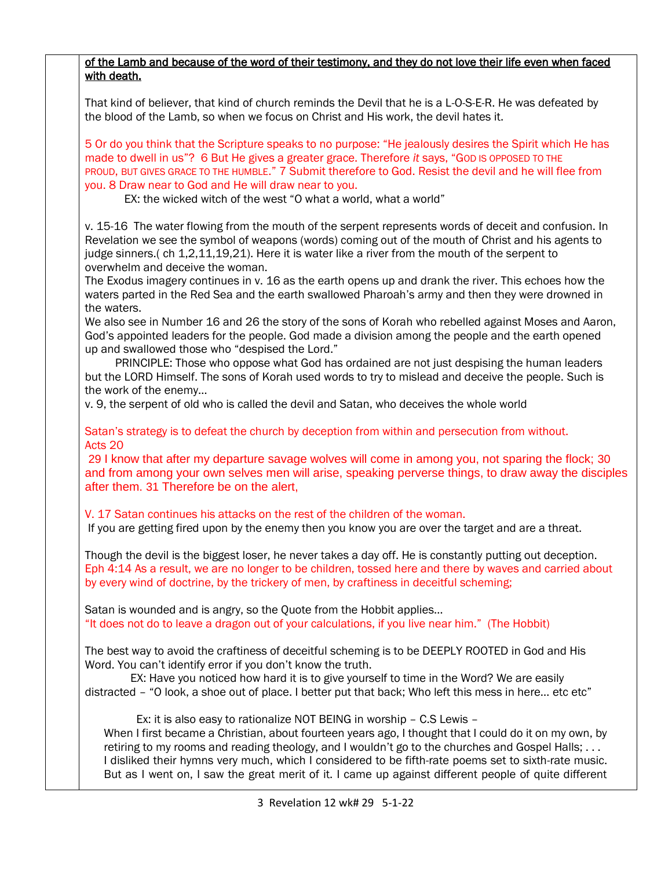| with death.                                                 | of the Lamb and because of the word of their testimony, and they do not love their life even when faced                                                                                                                                                                                                                                                                                                                                                                                          |  |
|-------------------------------------------------------------|--------------------------------------------------------------------------------------------------------------------------------------------------------------------------------------------------------------------------------------------------------------------------------------------------------------------------------------------------------------------------------------------------------------------------------------------------------------------------------------------------|--|
|                                                             | That kind of believer, that kind of church reminds the Devil that he is a L-O-S-E-R. He was defeated by<br>the blood of the Lamb, so when we focus on Christ and His work, the devil hates it.                                                                                                                                                                                                                                                                                                   |  |
| you. 8 Draw near to God and He will draw near to you.       | 5 Or do you think that the Scripture speaks to no purpose: "He jealously desires the Spirit which He has<br>made to dwell in us"? 6 But He gives a greater grace. Therefore it says, "GOD IS OPPOSED TO THE<br>PROUD, BUT GIVES GRACE TO THE HUMBLE." 7 Submit therefore to God. Resist the devil and he will flee from<br>EX: the wicked witch of the west "O what a world, what a world"                                                                                                       |  |
| overwhelm and deceive the woman.                            | v. 15-16 The water flowing from the mouth of the serpent represents words of deceit and confusion. In<br>Revelation we see the symbol of weapons (words) coming out of the mouth of Christ and his agents to<br>judge sinners.(ch 1,2,11,19,21). Here it is water like a river from the mouth of the serpent to                                                                                                                                                                                  |  |
| the waters.                                                 | The Exodus imagery continues in v. 16 as the earth opens up and drank the river. This echoes how the<br>waters parted in the Red Sea and the earth swallowed Pharoah's army and then they were drowned in                                                                                                                                                                                                                                                                                        |  |
| up and swallowed those who "despised the Lord."             | We also see in Number 16 and 26 the story of the sons of Korah who rebelled against Moses and Aaron,<br>God's appointed leaders for the people. God made a division among the people and the earth opened                                                                                                                                                                                                                                                                                        |  |
| the work of the enemy                                       | PRINCIPLE: Those who oppose what God has ordained are not just despising the human leaders<br>but the LORD Himself. The sons of Korah used words to try to mislead and deceive the people. Such is                                                                                                                                                                                                                                                                                               |  |
|                                                             | v. 9, the serpent of old who is called the devil and Satan, who deceives the whole world                                                                                                                                                                                                                                                                                                                                                                                                         |  |
| Acts 20                                                     | Satan's strategy is to defeat the church by deception from within and persecution from without.                                                                                                                                                                                                                                                                                                                                                                                                  |  |
| after them. 31 Therefore be on the alert,                   | 29 I know that after my departure savage wolves will come in among you, not sparing the flock; 30<br>and from among your own selves men will arise, speaking perverse things, to draw away the disciples                                                                                                                                                                                                                                                                                         |  |
|                                                             | V. 17 Satan continues his attacks on the rest of the children of the woman.<br>If you are getting fired upon by the enemy then you know you are over the target and are a threat.                                                                                                                                                                                                                                                                                                                |  |
|                                                             | Though the devil is the biggest loser, he never takes a day off. He is constantly putting out deception.<br>Eph 4:14 As a result, we are no longer to be children, tossed here and there by waves and carried about<br>by every wind of doctrine, by the trickery of men, by craftiness in deceitful scheming;                                                                                                                                                                                   |  |
|                                                             | Satan is wounded and is angry, so the Quote from the Hobbit applies<br>"It does not do to leave a dragon out of your calculations, if you live near him." (The Hobbit)                                                                                                                                                                                                                                                                                                                           |  |
| Word. You can't identify error if you don't know the truth. | The best way to avoid the craftiness of deceitful scheming is to be DEEPLY ROOTED in God and His                                                                                                                                                                                                                                                                                                                                                                                                 |  |
|                                                             | EX: Have you noticed how hard it is to give yourself to time in the Word? We are easily<br>distracted - "O look, a shoe out of place. I better put that back; Who left this mess in here etc etc"                                                                                                                                                                                                                                                                                                |  |
|                                                             | Ex: it is also easy to rationalize NOT BEING in worship - C.S Lewis -<br>When I first became a Christian, about fourteen years ago, I thought that I could do it on my own, by<br>retiring to my rooms and reading theology, and I wouldn't go to the churches and Gospel Halls;<br>I disliked their hymns very much, which I considered to be fifth-rate poems set to sixth-rate music.<br>But as I went on, I saw the great merit of it. I came up against different people of quite different |  |
| 3 Revelation 12 wk# 29 5-1-22                               |                                                                                                                                                                                                                                                                                                                                                                                                                                                                                                  |  |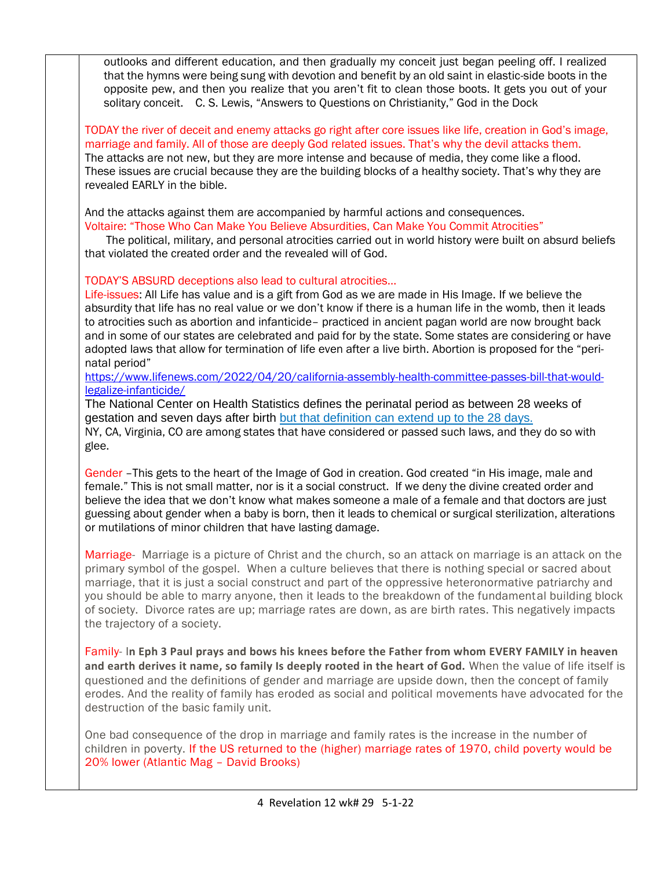outlooks and different education, and then gradually my conceit just began peeling off. I realized that the hymns were being sung with devotion and benefit by an old saint in elastic-side boots in the opposite pew, and then you realize that you aren't fit to clean those boots. It gets you out of your solitary conceit. C. S. Lewis, "Answers to Questions on Christianity," God in the Dock

TODAY the river of deceit and enemy attacks go right after core issues like life, creation in God's image, marriage and family. All of those are deeply God related issues. That's why the devil attacks them. The attacks are not new, but they are more intense and because of media, they come like a flood. These issues are crucial because they are the building blocks of a healthy society. That's why they are revealed EARLY in the bible.

And the attacks against them are accompanied by harmful actions and consequences. [Voltaire: "Those Who Can Make You Believe Absurdities, Can Make You Commit Atrocities"](https://www.openculture.com/2015/11/voltaire-those-who-can-make-you-believe-absurdities-can-make-you-commit-atrocities.html)

 The political, military, and personal atrocities carried out in world history were built on absurd beliefs that violated the created order and the revealed will of God.

TODAY'S ABSURD deceptions also lead to cultural atrocities…

Life-issues: All Life has value and is a gift from God as we are made in His Image. If we believe the absurdity that life has no real value or we don't know if there is a human life in the womb, then it leads to atrocities such as abortion and infanticide– practiced in ancient pagan world are now brought back and in some of our states are celebrated and paid for by the state. Some states are considering or have adopted laws that allow for termination of life even after a live birth. Abortion is proposed for the "perinatal period"

## [https://www.lifenews.com/2022/04/20/california-assembly-health-committee-passes-bill-that-would](https://www.lifenews.com/2022/04/20/california-assembly-health-committee-passes-bill-that-would-legalize-infanticide/)[legalize-infanticide/](https://www.lifenews.com/2022/04/20/california-assembly-health-committee-passes-bill-that-would-legalize-infanticide/)

The National Center on Health Statistics defines the perinatal period as between 28 weeks of gestation and seven days after birth [but that definition can extend up to the 28 days.](https://www.lifenews.com/2022/04/11/california-democrats-admit-bill-would-allow-infanticide-up-to-28-days-after-birth/) NY, CA, Virginia, CO are among states that have considered or passed such laws, and they do so with glee.

Gender –This gets to the heart of the Image of God in creation. God created "in His image, male and female." This is not small matter, nor is it a social construct. If we deny the divine created order and believe the idea that we don't know what makes someone a male of a female and that doctors are just guessing about gender when a baby is born, then it leads to chemical or surgical sterilization, alterations or mutilations of minor children that have lasting damage.

Marriage- Marriage is a picture of Christ and the church, so an attack on marriage is an attack on the primary symbol of the gospel. When a culture believes that there is nothing special or sacred about marriage, that it is just a social construct and part of the oppressive heteronormative patriarchy and you should be able to marry anyone, then it leads to the breakdown of the fundamental building block of society. Divorce rates are up; marriage rates are down, as are birth rates. This negatively impacts the trajectory of a society.

Family- I**n Eph 3 Paul prays and bows his knees before the Father from whom EVERY FAMILY in heaven and earth derives it name, so family Is deeply rooted in the heart of God.** When the value of life itself is questioned and the definitions of gender and marriage are upside down, then the concept of family erodes. And the reality of family has eroded as social and political movements have advocated for the destruction of the basic family unit.

One bad consequence of the drop in marriage and family rates is the increase in the number of children in poverty. If the US returned to the (higher) marriage rates of 1970, child poverty would be 20% lower (Atlantic Mag – David Brooks)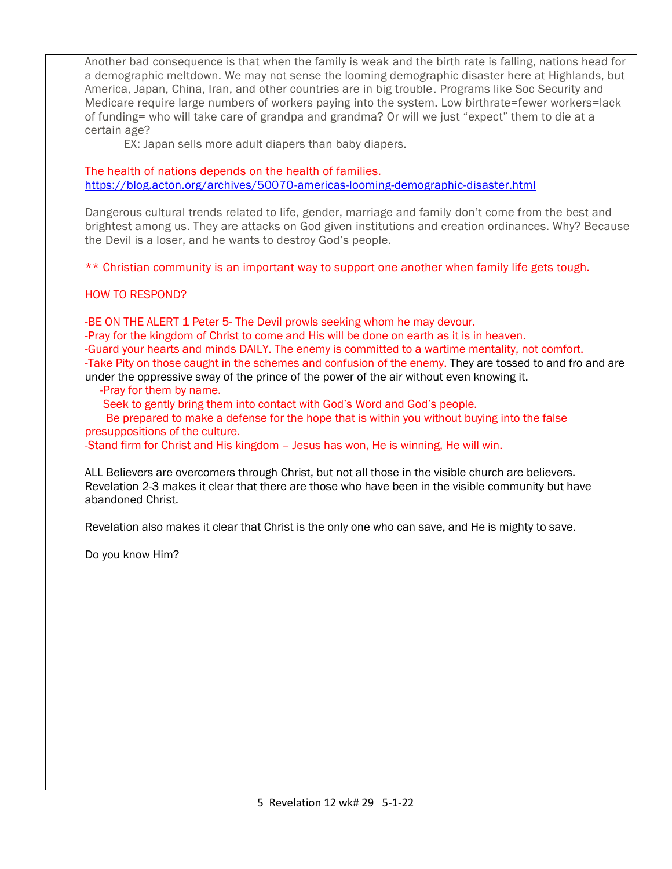Another bad consequence is that when the family is weak and the birth rate is falling, nations head for a demographic meltdown. We may not sense the looming demographic disaster here at Highlands, but America, Japan, China, Iran, and other countries are in big trouble. Programs like Soc Security and Medicare require large numbers of workers paying into the system. Low birthrate=fewer workers=lack of funding= who will take care of grandpa and grandma? Or will we just "expect" them to die at a certain age? EX: Japan sells more adult diapers than baby diapers. The health of nations depends on the health of families. <https://blog.acton.org/archives/50070-americas-looming-demographic-disaster.html> Dangerous cultural trends related to life, gender, marriage and family don't come from the best and brightest among us. They are attacks on God given institutions and creation ordinances. Why? Because the Devil is a loser, and he wants to destroy God's people. \*\* Christian community is an important way to support one another when family life gets tough. HOW TO RESPOND? -BE ON THE ALERT 1 Peter 5- The Devil prowls seeking whom he may devour. -Pray for the kingdom of Christ to come and His will be done on earth as it is in heaven. -Guard your hearts and minds DAILY. The enemy is committed to a wartime mentality, not comfort. -Take Pity on those caught in the schemes and confusion of the enemy. They are tossed to and fro and are under the oppressive sway of the prince of the power of the air without even knowing it. -Pray for them by name. Seek to gently bring them into contact with God's Word and God's people. Be prepared to make a defense for the hope that is within you without buying into the false presuppositions of the culture. -Stand firm for Christ and His kingdom – Jesus has won, He is winning, He will win. ALL Believers are overcomers through Christ, but not all those in the visible church are believers. Revelation 2-3 makes it clear that there are those who have been in the visible community but have abandoned Christ. Revelation also makes it clear that Christ is the only one who can save, and He is mighty to save. Do you know Him?